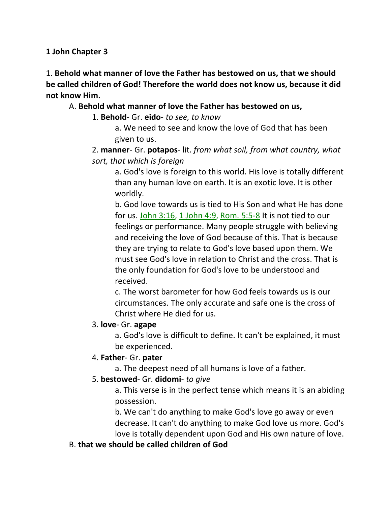**1 John Chapter 3**

1. **Behold what manner of love the Father has bestowed on us, that we should be called children of God! Therefore the world does not know us, because it did not know Him.**

A. **Behold what manner of love the Father has bestowed on us,**

1. **Behold**- Gr. **eido**- *to see, to know*

a. We need to see and know the love of God that has been given to us.

2. **manner**- Gr. **potapos**- lit. *from what soil, from what country, what sort, that which is foreign*

a. God's love is foreign to this world. His love is totally different than any human love on earth. It is an exotic love. It is other worldly.

b. God love towards us is tied to His Son and what He has done for us. John 3:16, 1 John 4:9, Rom. 5:5-8 It is not tied to our feelings or performance. Many people struggle with believing and receiving the love of God because of this. That is because they are trying to relate to God's love based upon them. We must see God's love in relation to Christ and the cross. That is the only foundation for God's love to be understood and received.

c. The worst barometer for how God feels towards us is our circumstances. The only accurate and safe one is the cross of Christ where He died for us.

# 3. **love**- Gr. **agape**

a. God's love is difficult to define. It can't be explained, it must be experienced.

# 4. **Father**- Gr. **pater**

- a. The deepest need of all humans is love of a father.
- 5. **bestowed** Gr. **didomi** *to give*

a. This verse is in the perfect tense which means it is an abiding possession.

b. We can't do anything to make God's love go away or even decrease. It can't do anything to make God love us more. God's love is totally dependent upon God and His own nature of love.

# B. **that we should be called children of God**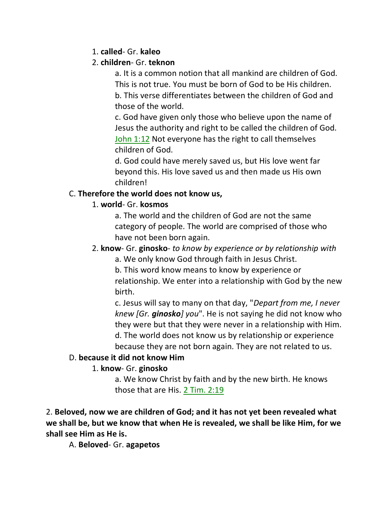#### 1. **called**- Gr. **kaleo**

#### 2. **children**- Gr. **teknon**

a. It is a common notion that all mankind are children of God. This is not true. You must be born of God to be His children. b. This verse differentiates between the children of God and those of the world.

c. God have given only those who believe upon the name of Jesus the authority and right to be called the children of God. John 1:12 Not everyone has the right to call themselves children of God.

d. God could have merely saved us, but His love went far beyond this. His love saved us and then made us His own children!

#### C. **Therefore the world does not know us,**

#### 1. **world**- Gr. **kosmos**

a. The world and the children of God are not the same category of people. The world are comprised of those who have not been born again.

#### 2. **know**- Gr. **ginosko**- *to know by experience or by relationship with*

a. We only know God through faith in Jesus Christ.

b. This word know means to know by experience or relationship. We enter into a relationship with God by the new birth.

c. Jesus will say to many on that day, "*Depart from me, I never knew [Gr. ginosko] you*". He is not saying he did not know who they were but that they were never in a relationship with Him. d. The world does not know us by relationship or experience

because they are not born again. They are not related to us.

# D. **because it did not know Him**

# 1. **know**- Gr. **ginosko**

a. We know Christ by faith and by the new birth. He knows those that are His. 2 Tim. 2:19

2. **Beloved, now we are children of God; and it has not yet been revealed what we shall be, but we know that when He is revealed, we shall be like Him, for we shall see Him as He is.**

A. **Beloved**- Gr. **agapetos**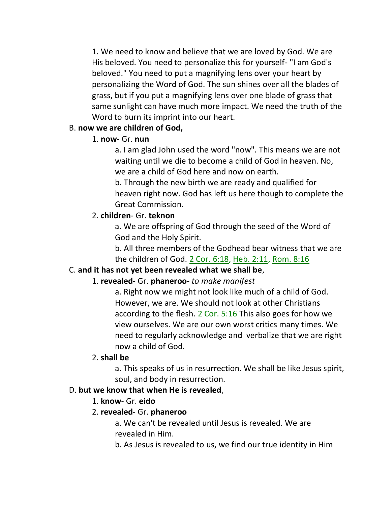1. We need to know and believe that we are loved by God. We are His beloved. You need to personalize this for yourself- "I am God's beloved." You need to put a magnifying lens over your heart by personalizing the Word of God. The sun shines over all the blades of grass, but if you put a magnifying lens over one blade of grass that same sunlight can have much more impact. We need the truth of the Word to burn its imprint into our heart.

#### B. **now we are children of God,**

#### 1. **now**- Gr. **nun**

a. I am glad John used the word "now". This means we are not waiting until we die to become a child of God in heaven. No, we are a child of God here and now on earth.

b. Through the new birth we are ready and qualified for heaven right now. God has left us here though to complete the Great Commission.

# 2. **children**- Gr. **teknon**

a. We are offspring of God through the seed of the Word of God and the Holy Spirit.

b. All three members of the Godhead bear witness that we are the children of God. 2 Cor. 6:18, Heb. 2:11, Rom. 8:16

# C. **and it has not yet been revealed what we shall be**,

# 1. **revealed**- Gr. **phaneroo**- *to make manifest*

a. Right now we might not look like much of a child of God. However, we are. We should not look at other Christians according to the flesh. 2 Cor. 5:16 This also goes for how we view ourselves. We are our own worst critics many times. We need to regularly acknowledge and verbalize that we are right now a child of God.

# 2. **shall be**

a. This speaks of us in resurrection. We shall be like Jesus spirit, soul, and body in resurrection.

# D. **but we know that when He is revealed**,

# 1. **know**- Gr. **eido**

# 2. **revealed**- Gr. **phaneroo**

a. We can't be revealed until Jesus is revealed. We are revealed in Him.

b. As Jesus is revealed to us, we find our true identity in Him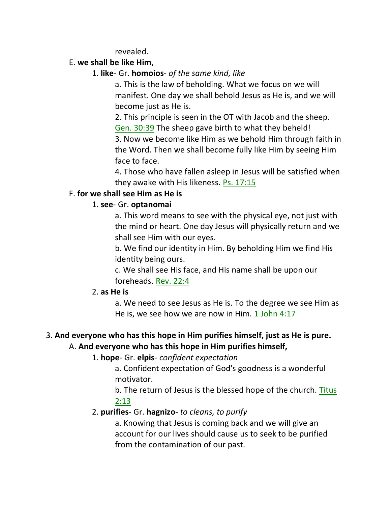revealed.

#### E. **we shall be like Him**,

#### 1. **like**- Gr. **homoios**- *of the same kind, like*

a. This is the law of beholding. What we focus on we will manifest. One day we shall behold Jesus as He is, and we will become just as He is.

2. This principle is seen in the OT with Jacob and the sheep. Gen. 30:39 The sheep gave birth to what they beheld!

3. Now we become like Him as we behold Him through faith in the Word. Then we shall become fully like Him by seeing Him face to face.

4. Those who have fallen asleep in Jesus will be satisfied when they awake with His likeness. Ps. 17:15

# F. **for we shall see Him as He is**

# 1. **see**- Gr. **optanomai**

a. This word means to see with the physical eye, not just with the mind or heart. One day Jesus will physically return and we shall see Him with our eyes.

b. We find our identity in Him. By beholding Him we find His identity being ours.

c. We shall see His face, and His name shall be upon our foreheads. Rev. 22:4

# 2. **as He is**

a. We need to see Jesus as He is. To the degree we see Him as He is, we see how we are now in Him.  $1$  John 4:17

# 3. **And everyone who has this hope in Him purifies himself, just as He is pure.**

# A. **And everyone who has this hope in Him purifies himself,**

# 1. **hope**- Gr. **elpis**- *confident expectation*

a. Confident expectation of God's goodness is a wonderful motivator.

b. The return of Jesus is the blessed hope of the church. Titus 2:13

# 2. **purifies**- Gr. **hagnizo**- *to cleans, to purify*

a. Knowing that Jesus is coming back and we will give an account for our lives should cause us to seek to be purified from the contamination of our past.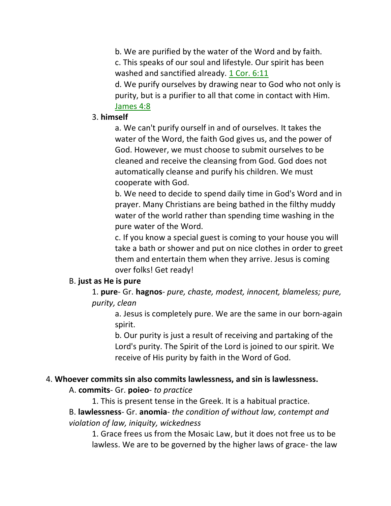b. We are purified by the water of the Word and by faith.

c. This speaks of our soul and lifestyle. Our spirit has been washed and sanctified already. 1 Cor. 6:11

d. We purify ourselves by drawing near to God who not only is purity, but is a purifier to all that come in contact with Him. James 4:8

#### 3. **himself**

a. We can't purify ourself in and of ourselves. It takes the water of the Word, the faith God gives us, and the power of God. However, we must choose to submit ourselves to be cleaned and receive the cleansing from God. God does not automatically cleanse and purify his children. We must cooperate with God.

b. We need to decide to spend daily time in God's Word and in prayer. Many Christians are being bathed in the filthy muddy water of the world rather than spending time washing in the pure water of the Word.

c. If you know a special guest is coming to your house you will take a bath or shower and put on nice clothes in order to greet them and entertain them when they arrive. Jesus is coming over folks! Get ready!

#### B. **just as He is pure**

1. **pure**- Gr. **hagnos**- *pure, chaste, modest, innocent, blameless; pure, purity, clean*

a. Jesus is completely pure. We are the same in our born-again spirit.

b. Our purity is just a result of receiving and partaking of the Lord's purity. The Spirit of the Lord is joined to our spirit. We receive of His purity by faith in the Word of God.

#### 4. **Whoever commits sin also commits lawlessness, and sin is lawlessness.**

#### A. **commits**- Gr. **poieo**- *to practice*

1. This is present tense in the Greek. It is a habitual practice.

B. **lawlessness**- Gr. **anomia**- *the condition of without law, contempt and violation of law, iniquity, wickedness*

1. Grace frees us from the Mosaic Law, but it does not free us to be lawless. We are to be governed by the higher laws of grace- the law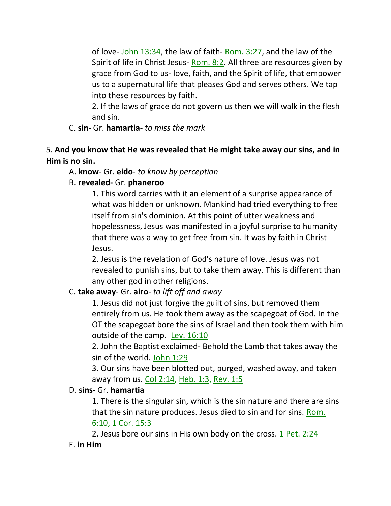of love- John 13:34, the law of faith- Rom. 3:27, and the law of the Spirit of life in Christ Jesus-Rom. 8:2. All three are resources given by grace from God to us- love, faith, and the Spirit of life, that empower us to a supernatural life that pleases God and serves others. We tap into these resources by faith.

2. If the laws of grace do not govern us then we will walk in the flesh and sin.

C. **sin**- Gr. **hamartia**- *to miss the mark*

# 5. **And you know that He was revealed that He might take away our sins, and in Him is no sin.**

A. **know**- Gr. **eido**- *to know by perception*

# B. **revealed**- Gr. **phaneroo**

1. This word carries with it an element of a surprise appearance of what was hidden or unknown. Mankind had tried everything to free itself from sin's dominion. At this point of utter weakness and hopelessness, Jesus was manifested in a joyful surprise to humanity that there was a way to get free from sin. It was by faith in Christ Jesus.

2. Jesus is the revelation of God's nature of love. Jesus was not revealed to punish sins, but to take them away. This is different than any other god in other religions.

# C. **take away**- Gr. **airo**- *to lift off and away*

1. Jesus did not just forgive the guilt of sins, but removed them entirely from us. He took them away as the scapegoat of God. In the OT the scapegoat bore the sins of Israel and then took them with him outside of the camp. Lev. 16:10

2. John the Baptist exclaimed- Behold the Lamb that takes away the sin of the world. John 1:29

3. Our sins have been blotted out, purged, washed away, and taken away from us. Col 2:14, Heb. 1:3, Rev. 1:5

# D. **sins-** Gr. **hamartia**

1. There is the singular sin, which is the sin nature and there are sins that the sin nature produces. Jesus died to sin and for sins. Rom. 6:10, 1 Cor. 15:3

2. Jesus bore our sins in His own body on the cross. 1 Pet. 2:24

# E. **in Him**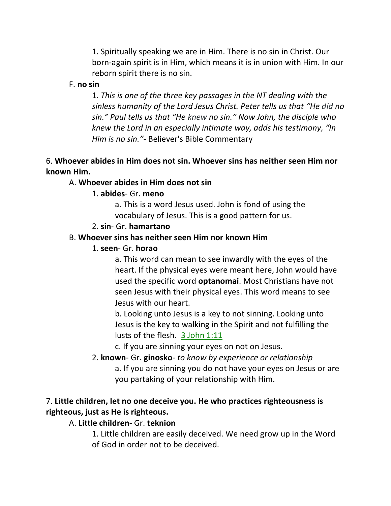1. Spiritually speaking we are in Him. There is no sin in Christ. Our born-again spirit is in Him, which means it is in union with Him. In our reborn spirit there is no sin.

#### F. **no sin**

1. *This is one of the three key passages in the NT dealing with the sinless humanity of the Lord Jesus Christ. Peter tells us that "He did no sin." Paul tells us that "He knew no sin." Now John, the disciple who knew the Lord in an especially intimate way, adds his testimony, "In Him is no sin."*- Believer's Bible Commentary

#### 6. **Whoever abides in Him does not sin. Whoever sins has neither seen Him nor known Him.**

#### A. **Whoever abides in Him does not sin**

#### 1. **abides**- Gr. **meno**

a. This is a word Jesus used. John is fond of using the vocabulary of Jesus. This is a good pattern for us.

#### 2. **sin**- Gr. **hamartano**

#### B. **Whoever sins has neither seen Him nor known Him**

#### 1. **seen**- Gr. **horao**

a. This word can mean to see inwardly with the eyes of the heart. If the physical eyes were meant here, John would have used the specific word **optanomai**. Most Christians have not seen Jesus with their physical eyes. This word means to see Jesus with our heart.

b. Looking unto Jesus is a key to not sinning. Looking unto Jesus is the key to walking in the Spirit and not fulfilling the lusts of the flesh. 3 John 1:11

c. If you are sinning your eyes on not on Jesus.

2. **known**- Gr. **ginosko**- *to know by experience or relationship* a. If you are sinning you do not have your eyes on Jesus or are you partaking of your relationship with Him.

# 7. **Little children, let no one deceive you. He who practices righteousness is righteous, just as He is righteous.**

# A. **Little children**- Gr. **teknion**

1. Little children are easily deceived. We need grow up in the Word of God in order not to be deceived.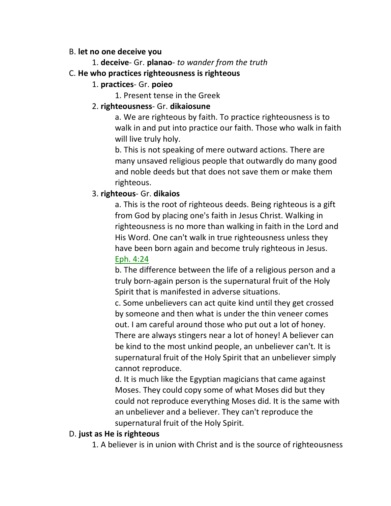#### B. **let no one deceive you**

1. **deceive**- Gr. **planao**- *to wander from the truth*

#### C. **He who practices righteousness is righteous**

#### 1. **practices**- Gr. **poieo**

1. Present tense in the Greek

#### 2. **righteousness**- Gr. **dikaiosune**

a. We are righteous by faith. To practice righteousness is to walk in and put into practice our faith. Those who walk in faith will live truly holy.

b. This is not speaking of mere outward actions. There are many unsaved religious people that outwardly do many good and noble deeds but that does not save them or make them righteous.

#### 3. **righteous**- Gr. **dikaios**

a. This is the root of righteous deeds. Being righteous is a gift from God by placing one's faith in Jesus Christ. Walking in righteousness is no more than walking in faith in the Lord and His Word. One can't walk in true righteousness unless they have been born again and become truly righteous in Jesus. Eph. 4:24

b. The difference between the life of a religious person and a truly born-again person is the supernatural fruit of the Holy Spirit that is manifested in adverse situations.

c. Some unbelievers can act quite kind until they get crossed by someone and then what is under the thin veneer comes out. I am careful around those who put out a lot of honey. There are always stingers near a lot of honey! A believer can be kind to the most unkind people, an unbeliever can't. It is supernatural fruit of the Holy Spirit that an unbeliever simply cannot reproduce.

d. It is much like the Egyptian magicians that came against Moses. They could copy some of what Moses did but they could not reproduce everything Moses did. It is the same with an unbeliever and a believer. They can't reproduce the supernatural fruit of the Holy Spirit.

#### D. **just as He is righteous**

1. A believer is in union with Christ and is the source of righteousness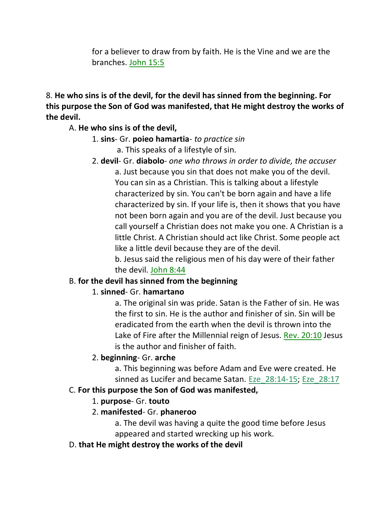for a believer to draw from by faith. He is the Vine and we are the branches. John 15:5

8. **He who sins is of the devil, for the devil has sinned from the beginning. For this purpose the Son of God was manifested, that He might destroy the works of the devil.**

# A. **He who sins is of the devil,**

- 1. **sins** Gr. **poieo hamartia** *to practice sin*
	- a. This speaks of a lifestyle of sin.
- 2. **devil** Gr. **diabolo** *one who throws in order to divide, the accuser* a. Just because you sin that does not make you of the devil. You can sin as a Christian. This is talking about a lifestyle characterized by sin. You can't be born again and have a life characterized by sin. If your life is, then it shows that you have not been born again and you are of the devil. Just because you call yourself a Christian does not make you one. A Christian is a little Christ. A Christian should act like Christ. Some people act like a little devil because they are of the devil.

b. Jesus said the religious men of his day were of their father the devil. John 8:44

# B. **for the devil has sinned from the beginning**

# 1. **sinned**- Gr. **hamartano**

a. The original sin was pride. Satan is the Father of sin. He was the first to sin. He is the author and finisher of sin. Sin will be eradicated from the earth when the devil is thrown into the Lake of Fire after the Millennial reign of Jesus. Rev. 20:10 Jesus is the author and finisher of faith.

# 2. **beginning**- Gr. **arche**

a. This beginning was before Adam and Eve were created. He sinned as Lucifer and became Satan. Eze\_28:14-15; Eze\_28:17

# C. **For this purpose the Son of God was manifested,**

# 1. **purpose**- Gr. **touto**

# 2. **manifested**- Gr. **phaneroo**

a. The devil was having a quite the good time before Jesus appeared and started wrecking up his work.

# D. **that He might destroy the works of the devil**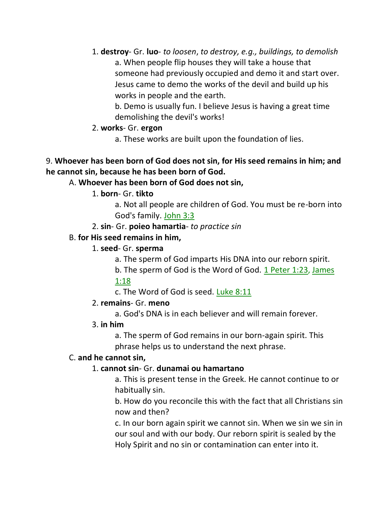1. **destroy**- Gr. **luo**- *to loosen*, *to destroy, e.g., buildings, to demolish* a. When people flip houses they will take a house that someone had previously occupied and demo it and start over. Jesus came to demo the works of the devil and build up his works in people and the earth.

b. Demo is usually fun. I believe Jesus is having a great time demolishing the devil's works!

# 2. **works**- Gr. **ergon**

a. These works are built upon the foundation of lies.

#### 9. **Whoever has been born of God does not sin, for His seed remains in him; and he cannot sin, because he has been born of God.**

# A. **Whoever has been born of God does not sin,**

1. **born**- Gr. **tikto**

a. Not all people are children of God. You must be re-born into God's family. John 3:3

2. **sin**- Gr. **poieo hamartia**- *to practice sin*

# B. **for His seed remains in him,**

#### 1. **seed**- Gr. **sperma**

- a. The sperm of God imparts His DNA into our reborn spirit.
- b. The sperm of God is the Word of God. 1 Peter 1:23, James

1:18

c. The Word of God is seed. Luke 8:11

# 2. **remains**- Gr. **meno**

a. God's DNA is in each believer and will remain forever.

# 3. **in him**

a. The sperm of God remains in our born-again spirit. This phrase helps us to understand the next phrase.

#### C. **and he cannot sin,**

#### 1. **cannot sin**- Gr. **dunamai ou hamartano**

a. This is present tense in the Greek. He cannot continue to or habitually sin.

b. How do you reconcile this with the fact that all Christians sin now and then?

c. In our born again spirit we cannot sin. When we sin we sin in our soul and with our body. Our reborn spirit is sealed by the Holy Spirit and no sin or contamination can enter into it.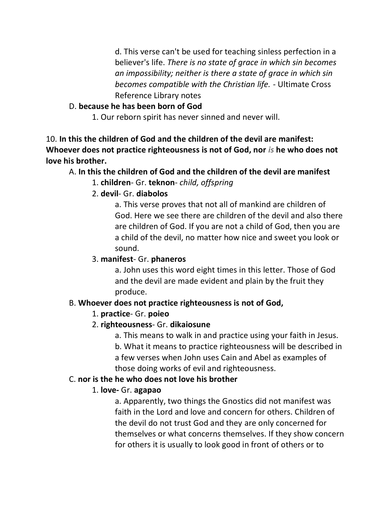d. This verse can't be used for teaching sinless perfection in a believer's life. *There is no state of grace in which sin becomes an impossibility; neither is there a state of grace in which sin becomes compatible with the Christian life.* - Ultimate Cross Reference Library notes

#### D. **because he has been born of God**

1. Our reborn spirit has never sinned and never will.

10. **In this the children of God and the children of the devil are manifest: Whoever does not practice righteousness is not of God, nor** *is* **he who does not love his brother.**

# A. **In this the children of God and the children of the devil are manifest**

1. **children**- Gr. **teknon**- *child, offspring*

# 2. **devil**- Gr. **diabolos**

a. This verse proves that not all of mankind are children of God. Here we see there are children of the devil and also there are children of God. If you are not a child of God, then you are a child of the devil, no matter how nice and sweet you look or sound.

# 3. **manifest**- Gr. **phaneros**

a. John uses this word eight times in this letter. Those of God and the devil are made evident and plain by the fruit they produce.

# B. **Whoever does not practice righteousness is not of God,**

#### 1. **practice**- Gr. **poieo**

#### 2. **righteousness**- Gr. **dikaiosune**

a. This means to walk in and practice using your faith in Jesus. b. What it means to practice righteousness will be described in a few verses when John uses Cain and Abel as examples of those doing works of evil and righteousness.

#### C. **nor is the he who does not love his brother**

#### 1. **love-** Gr. **agapao**

a. Apparently, two things the Gnostics did not manifest was faith in the Lord and love and concern for others. Children of the devil do not trust God and they are only concerned for themselves or what concerns themselves. If they show concern for others it is usually to look good in front of others or to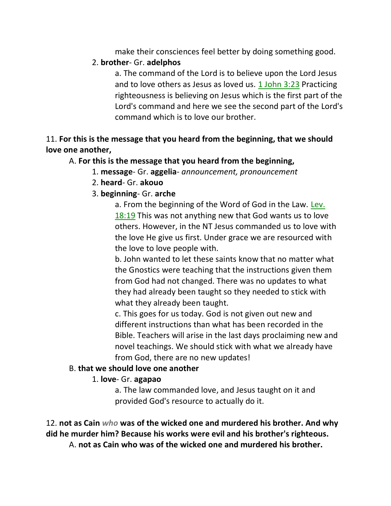make their consciences feel better by doing something good.

#### 2. **brother**- Gr. **adelphos**

a. The command of the Lord is to believe upon the Lord Jesus and to love others as Jesus as loved us. 1 John 3:23 Practicing righteousness is believing on Jesus which is the first part of the Lord's command and here we see the second part of the Lord's command which is to love our brother.

# 11. **For this is the message that you heard from the beginning, that we should love one another,**

# A. **For this is the message that you heard from the beginning,**

- 1. **message** Gr. **aggelia** *announcement, pronouncement*
- 2. **heard** Gr. **akouo**

# 3. **beginning**- Gr. **arche**

a. From the beginning of the Word of God in the Law. Lev. 18:19 This was not anything new that God wants us to love others. However, in the NT Jesus commanded us to love with the love He give us first. Under grace we are resourced with the love to love people with.

b. John wanted to let these saints know that no matter what the Gnostics were teaching that the instructions given them from God had not changed. There was no updates to what they had already been taught so they needed to stick with what they already been taught.

c. This goes for us today. God is not given out new and different instructions than what has been recorded in the Bible. Teachers will arise in the last days proclaiming new and novel teachings. We should stick with what we already have from God, there are no new updates!

# B. **that we should love one another**

# 1. **love**- Gr. **agapao**

a. The law commanded love, and Jesus taught on it and provided God's resource to actually do it.

12. **not as Cain** *who* **was of the wicked one and murdered his brother. And why did he murder him? Because his works were evil and his brother's righteous.**

A. **not as Cain who was of the wicked one and murdered his brother.**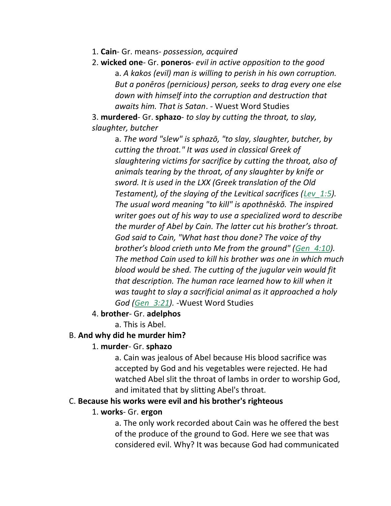- 1. **Cain** Gr. means- *possession, acquired*
- 2. **wicked one** Gr. **poneros** *evil in active opposition to the good* a. *A kakos (evil) man is willing to perish in his own corruption. But a ponēros (pernicious) person, seeks to drag every one else down with himself into the corruption and destruction that awaits him. That is Satan*. - Wuest Word Studies

3. **murdered**- Gr. **sphazo**- *to slay by cutting the throat, to slay, slaughter, butcher*

a. *The word "slew" is sphazō, "to slay, slaughter, butcher, by cutting the throat." It was used in classical Greek of slaughtering victims for sacrifice by cutting the throat, also of animals tearing by the throat, of any slaughter by knife or sword. It is used in the LXX (Greek translation of the Old Testament), of the slaying of the Levitical sacrifices (Lev\_1:5). The usual word meaning "to kill" is apothnēskō. The inspired writer goes out of his way to use a specialized word to describe the murder of Abel by Cain. The latter cut his brother's throat. God said to Cain, "What hast thou done? The voice of thy brother's blood crieth unto Me from the ground" (Gen\_4:10). The method Cain used to kill his brother was one in which much blood would be shed. The cutting of the jugular vein would fit that description. The human race learned how to kill when it was taught to slay a sacrificial animal as it approached a holy God (Gen\_3:21). -*Wuest Word Studies

#### 4. **brother**- Gr. **adelphos**

a. This is Abel.

#### B. **And why did he murder him?**

#### 1. **murder**- Gr. **sphazo**

a. Cain was jealous of Abel because His blood sacrifice was accepted by God and his vegetables were rejected. He had watched Abel slit the throat of lambs in order to worship God, and imitated that by slitting Abel's throat.

#### C. **Because his works were evil and his brother's righteous**

#### 1. **works**- Gr. **ergon**

a. The only work recorded about Cain was he offered the best of the produce of the ground to God. Here we see that was considered evil. Why? It was because God had communicated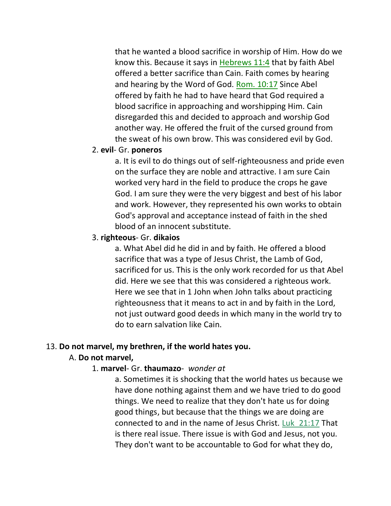that he wanted a blood sacrifice in worship of Him. How do we know this. Because it says in Hebrews 11:4 that by faith Abel offered a better sacrifice than Cain. Faith comes by hearing and hearing by the Word of God. Rom. 10:17 Since Abel offered by faith he had to have heard that God required a blood sacrifice in approaching and worshipping Him. Cain disregarded this and decided to approach and worship God another way. He offered the fruit of the cursed ground from the sweat of his own brow. This was considered evil by God.

#### 2. **evil**- Gr. **poneros**

a. It is evil to do things out of self-righteousness and pride even on the surface they are noble and attractive. I am sure Cain worked very hard in the field to produce the crops he gave God. I am sure they were the very biggest and best of his labor and work. However, they represented his own works to obtain God's approval and acceptance instead of faith in the shed blood of an innocent substitute.

#### 3. **righteous**- Gr. **dikaios**

a. What Abel did he did in and by faith. He offered a blood sacrifice that was a type of Jesus Christ, the Lamb of God, sacrificed for us. This is the only work recorded for us that Abel did. Here we see that this was considered a righteous work. Here we see that in 1 John when John talks about practicing righteousness that it means to act in and by faith in the Lord, not just outward good deeds in which many in the world try to do to earn salvation like Cain.

#### 13. **Do not marvel, my brethren, if the world hates you.**

#### A. **Do not marvel,**

#### 1. **marvel**- Gr. **thaumazo**- *wonder at*

a. Sometimes it is shocking that the world hates us because we have done nothing against them and we have tried to do good things. We need to realize that they don't hate us for doing good things, but because that the things we are doing are connected to and in the name of Jesus Christ. Luk\_21:17 That is there real issue. There issue is with God and Jesus, not you. They don't want to be accountable to God for what they do,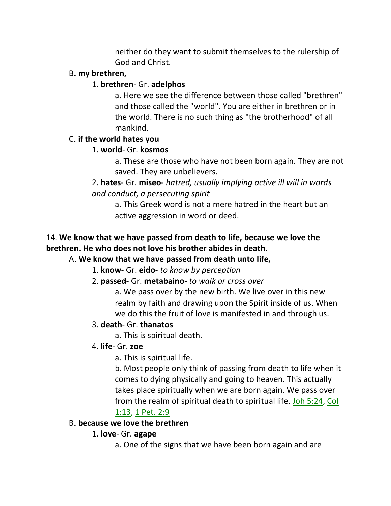neither do they want to submit themselves to the rulership of God and Christ.

#### B. **my brethren,**

#### 1. **brethren**- Gr. **adelphos**

a. Here we see the difference between those called "brethren" and those called the "world". You are either in brethren or in the world. There is no such thing as "the brotherhood" of all mankind.

#### C. **if the world hates you**

# 1. **world**- Gr. **kosmos**

a. These are those who have not been born again. They are not saved. They are unbelievers.

# 2. **hates**- Gr. **miseo**- *hatred, usually implying active ill will in words and conduct, a persecuting spirit*

a. This Greek word is not a mere hatred in the heart but an active aggression in word or deed.

# 14. **We know that we have passed from death to life, because we love the brethren. He who does not love his brother abides in death.**

# A. **We know that we have passed from death unto life,**

- 1. **know** Gr. **eido** *to know by perception*
- 2. **passed** Gr. **metabaino** *to walk or cross over*

a. We pass over by the new birth. We live over in this new realm by faith and drawing upon the Spirit inside of us. When we do this the fruit of love is manifested in and through us.

# 3. **death**- Gr. **thanatos**

a. This is spiritual death.

# 4. **life**- Gr. **zoe**

a. This is spiritual life.

b. Most people only think of passing from death to life when it comes to dying physically and going to heaven. This actually takes place spiritually when we are born again. We pass over from the realm of spiritual death to spiritual life. Joh 5:24, Col

# 1:13, 1 Pet. 2:9

# B. **because we love the brethren**

# 1. **love**- Gr. **agape**

a. One of the signs that we have been born again and are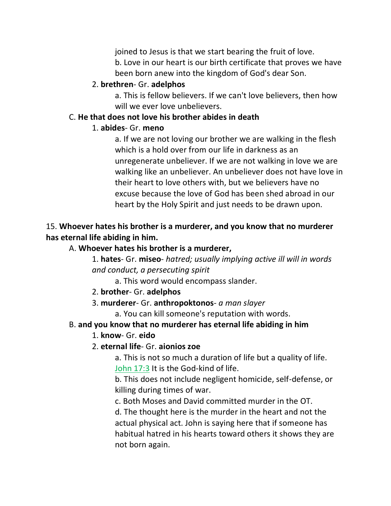joined to Jesus is that we start bearing the fruit of love. b. Love in our heart is our birth certificate that proves we have been born anew into the kingdom of God's dear Son.

#### 2. **brethren**- Gr. **adelphos**

a. This is fellow believers. If we can't love believers, then how will we ever love unbelievers.

#### C. **He that does not love his brother abides in death**

#### 1. **abides**- Gr. **meno**

a. If we are not loving our brother we are walking in the flesh which is a hold over from our life in darkness as an unregenerate unbeliever. If we are not walking in love we are walking like an unbeliever. An unbeliever does not have love in their heart to love others with, but we believers have no excuse because the love of God has been shed abroad in our heart by the Holy Spirit and just needs to be drawn upon.

# 15. **Whoever hates his brother is a murderer, and you know that no murderer has eternal life abiding in him.**

# A. **Whoever hates his brother is a murderer,**

1. **hates**- Gr. **miseo**- *hatred; usually implying active ill will in words and conduct, a persecuting spirit*

- a. This word would encompass slander.
- 2. **brother** Gr. **adelphos**
- 3. **murderer** Gr. **anthropoktonos** *a man slayer*

a. You can kill someone's reputation with words.

# B. **and you know that no murderer has eternal life abiding in him**

# 1. **know**- Gr. **eido**

2. **eternal life**- Gr. **aionios zoe**

a. This is not so much a duration of life but a quality of life. John 17:3 It is the God-kind of life.

b. This does not include negligent homicide, self-defense, or killing during times of war.

c. Both Moses and David committed murder in the OT.

d. The thought here is the murder in the heart and not the actual physical act. John is saying here that if someone has habitual hatred in his hearts toward others it shows they are not born again.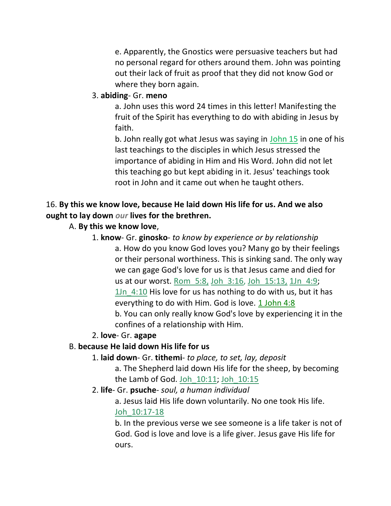e. Apparently, the Gnostics were persuasive teachers but had no personal regard for others around them. John was pointing out their lack of fruit as proof that they did not know God or where they born again.

#### 3. **abiding**- Gr. **meno**

a. John uses this word 24 times in this letter! Manifesting the fruit of the Spirit has everything to do with abiding in Jesus by faith.

b. John really got what Jesus was saying in John 15 in one of his last teachings to the disciples in which Jesus stressed the importance of abiding in Him and His Word. John did not let this teaching go but kept abiding in it. Jesus' teachings took root in John and it came out when he taught others.

#### 16. **By this we know love, because He laid down His life for us. And we also ought to lay down** *our* **lives for the brethren.**

#### A. **By this we know love**,

1. **know**- Gr. **ginosko**- *to know by experience or by relationship* a. How do you know God loves you? Many go by their feelings or their personal worthiness. This is sinking sand. The only way we can gage God's love for us is that Jesus came and died for us at our worst. Rom\_5:8, Joh\_3:16, Joh\_15:13, 1Jn\_4:9; 1Jn 4:10 His love for us has nothing to do with us, but it has everything to do with Him. God is love. 1 John 4:8 b. You can only really know God's love by experiencing it in the confines of a relationship with Him.

2. **love**- Gr. **agape**

#### B. **because He laid down His life for us**

- 1. **laid down** Gr. **tithemi** *to place, to set, lay, deposit*
	- a. The Shepherd laid down His life for the sheep, by becoming the Lamb of God. Joh 10:11; Joh 10:15
- 2. **life** Gr. **psuche** *soul, a human individual*

a. Jesus laid His life down voluntarily. No one took His life. Joh\_10:17-18

b. In the previous verse we see someone is a life taker is not of God. God is love and love is a life giver. Jesus gave His life for ours.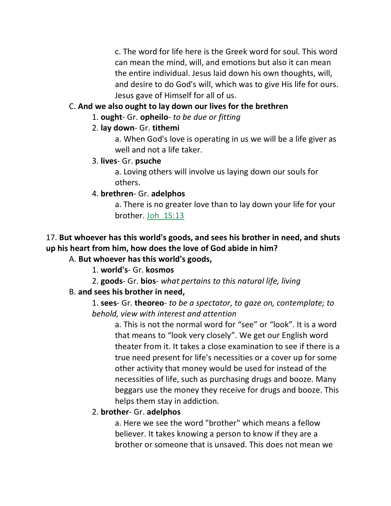c. The word for life here is the Greek word for soul. This word can mean the mind, will, and emotions but also it can mean the entire individual. Jesus laid down his own thoughts, will, and desire to do God's will, which was to give His life for ours. Jesus gave of Himself for all of us.

# C. **And we also ought to lay down our lives for the brethren**

1. **ought**- Gr. **opheilo**- *to be due or fitting*

# 2. **lay down**- Gr. **tithemi**

a. When God's love is operating in us we will be a life giver as well and not a life taker.

# 3. **lives**- Gr. **psuche**

a. Loving others will involve us laying down our souls for others.

# 4. **brethren**- Gr. **adelphos**

a. There is no greater love than to lay down your life for your brother. Joh\_15:13

# 17. **But whoever has this world's goods, and sees his brother in need, and shuts up his heart from him, how does the love of God abide in him?**

# A. **But whoever has this world's goods,**

1. **world's**- Gr. **kosmos**

2. **goods**- Gr. **bios**- *what pertains to this natural life, living* 

# B. **and sees his brother in need,**

1. **sees**- Gr. **theoreo**- *to be a spectator, to gaze on, contemplate; to behold, view with interest and attention*

a. This is not the normal word for "see" or "look". It is a word that means to "look very closely". We get our English word theater from it. It takes a close examination to see if there is a true need present for life's necessities or a cover up for some other activity that money would be used for instead of the necessities of life, such as purchasing drugs and booze. Many beggars use the money they receive for drugs and booze. This helps them stay in addiction.

# 2. **brother**- Gr. **adelphos**

a. Here we see the word "brother" which means a fellow believer. It takes knowing a person to know if they are a brother or someone that is unsaved. This does not mean we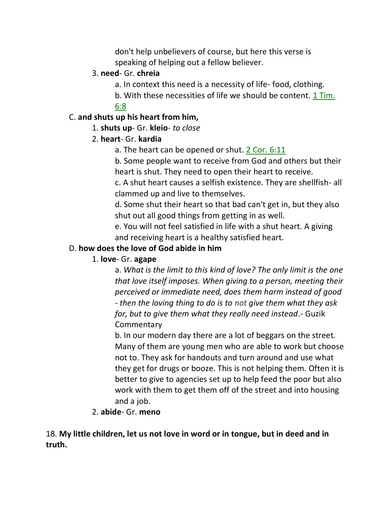don't help unbelievers of course, but here this verse is speaking of helping out a fellow believer.

#### 3. **need**- Gr. **chreia**

- a. In context this need is a necessity of life- food, clothing.
- b. With these necessities of life we should be content. 1 Tim.

#### 6:8

#### C. **and shuts up his heart from him,**

# 1. **shuts up**- Gr. **kleio**- *to close*

# 2. **heart**- Gr. **kardia**

a. The heart can be opened or shut. 2 Cor. 6:11

b. Some people want to receive from God and others but their heart is shut. They need to open their heart to receive.

c. A shut heart causes a selfish existence. They are shellfish- all clammed up and live to themselves.

d. Some shut their heart so that bad can't get in, but they also shut out all good things from getting in as well.

e. You will not feel satisfied in life with a shut heart. A giving and receiving heart is a healthy satisfied heart.

# D. **how does the love of God abide in him**

# 1. **love**- Gr. **agape**

a. *What is the limit to this kind of love? The only limit is the one that love itself imposes. When giving to a person, meeting their perceived or immediate need, does them harm instead of good - then the loving thing to do is to not give them what they ask for, but to give them what they really need instead*.- Guzik **Commentary** 

b. In our modern day there are a lot of beggars on the street. Many of them are young men who are able to work but choose not to. They ask for handouts and turn around and use what they get for drugs or booze. This is not helping them. Often it is better to give to agencies set up to help feed the poor but also work with them to get them off of the street and into housing and a job.

# 2. **abide**- Gr. **meno**

18. **My little children, let us not love in word or in tongue, but in deed and in truth.**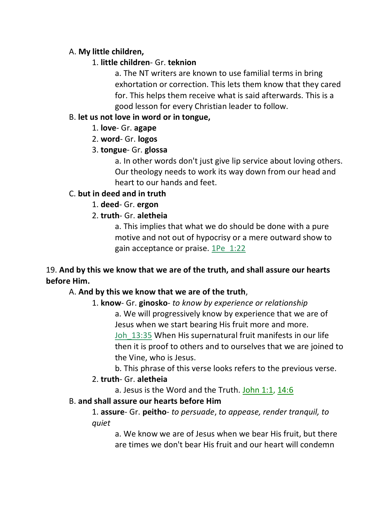#### A. **My little children,**

#### 1. **little children**- Gr. **teknion**

a. The NT writers are known to use familial terms in bring exhortation or correction. This lets them know that they cared for. This helps them receive what is said afterwards. This is a good lesson for every Christian leader to follow.

#### B. **let us not love in word or in tongue,**

1. **love**- Gr. **agape**

2. **word**- Gr. **logos**

# 3. **tongue**- Gr. **glossa**

a. In other words don't just give lip service about loving others. Our theology needs to work its way down from our head and heart to our hands and feet.

# C. **but in deed and in truth**

1. **deed**- Gr. **ergon**

# 2. **truth**- Gr. **aletheia**

a. This implies that what we do should be done with a pure motive and not out of hypocrisy or a mere outward show to gain acceptance or praise. 1Pe\_1:22

# 19. **And by this we know that we are of the truth, and shall assure our hearts before Him.**

# A. **And by this we know that we are of the truth**,

# 1. **know**- Gr. **ginosko**- *to know by experience or relationship*

a. We will progressively know by experience that we are of Jesus when we start bearing His fruit more and more.

Joh 13:35 When His supernatural fruit manifests in our life then it is proof to others and to ourselves that we are joined to the Vine, who is Jesus.

b. This phrase of this verse looks refers to the previous verse.

# 2. **truth**- Gr. **aletheia**

a. Jesus is the Word and the Truth. John  $1:1$ ,  $14:6$ 

# B. **and shall assure our hearts before Him**

1. **assure**- Gr. **peitho**- *to persuade*, *to appease, render tranquil, to quiet*

a. We know we are of Jesus when we bear His fruit, but there are times we don't bear His fruit and our heart will condemn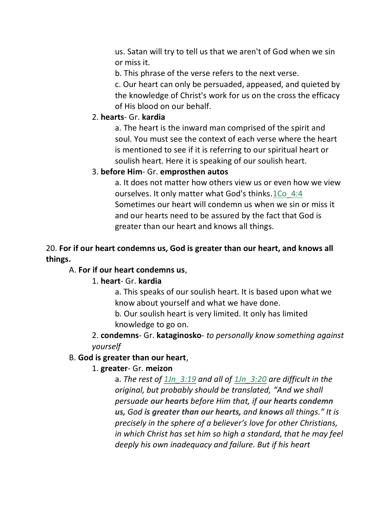us. Satan will try to tell us that we aren't of God when we sin or miss it.

b. This phrase of the verse refers to the next verse.

c. Our heart can only be persuaded, appeased, and quieted by the knowledge of Christ's work for us on the cross the efficacy of His blood on our behalf.

#### 2. **hearts**- Gr. **kardia**

a. The heart is the inward man comprised of the spirit and soul. You must see the context of each verse where the heart is mentioned to see if it is referring to our spiritual heart or soulish heart. Here it is speaking of our soulish heart.

#### 3. **before Him**- Gr. **emprosthen autos**

a. It does not matter how others view us or even how we view ourselves. It only matter what God's thinks.1Co\_4:4 Sometimes our heart will condemn us when we sin or miss it and our hearts need to be assured by the fact that God is greater than our heart and knows all things.

#### 20. **For if our heart condemns us, God is greater than our heart, and knows all things.**

#### A. **For if our heart condemns us**,

#### 1. **heart**- Gr. **kardia**

a. This speaks of our soulish heart. It is based upon what we know about yourself and what we have done.

b. Our soulish heart is very limited. It only has limited knowledge to go on.

2. **condemns**- Gr. **kataginosko**- *to personally know something against yourself*

#### B. **God is greater than our heart**,

#### 1. **greater**- Gr. **meizon**

a. *The rest of 1Jn\_3:19 and all of 1Jn\_3:20 are difficult in the original, but probably should be translated, "And we shall persuade our hearts before Him that, if our hearts condemn us, God is greater than our hearts, and knows all things." It is precisely in the sphere of a believer's love for other Christians, in which Christ has set him so high a standard, that he may feel deeply his own inadequacy and failure. But if his heart*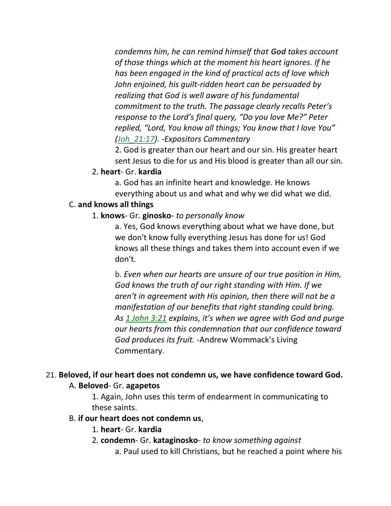*condemns him, he can remind himself that God takes account of those things which at the moment his heart ignores. If he has been engaged in the kind of practical acts of love which John enjoined, his guilt-ridden heart can be persuaded by realizing that God is well aware of his fundamental commitment to the truth. The passage clearly recalls Peter's response to the Lord's final query, "Do you love Me?" Peter replied, "Lord, You know all things; You know that I love You" (Joh\_21:17). -Expositors Commentary*

2. God is greater than our heart and our sin. His greater heart sent Jesus to die for us and His blood is greater than all our sin.

#### 2. **heart**- Gr. **kardia**

a. God has an infinite heart and knowledge. He knows everything about us and what and why we did what we did.

#### C. **and knows all things**

#### 1. **knows**- Gr. **ginosko**- *to personally know*

a. Yes, God knows everything about what we have done, but we don't know fully everything Jesus has done for us! God knows all these things and takes them into account even if we don't.

b. *Even when our hearts are unsure of our true position in Him, God knows the truth of our right standing with Him. If we aren't in agreement with His opinion, then there will not be a manifestation of our benefits that right standing could bring. As [1 John 3:21](http://www.crossbooks.com/verse.asp?ref=1Jn%203:21) explains, it's when we agree with God and purge our hearts from this condemnation that our confidence toward God produces its fruit.* -Andrew Wommack's Living Commentary.

#### 21. **Beloved, if our heart does not condemn us, we have confidence toward God.** A. **Beloved**- Gr. **agapetos**

1. Again, John uses this term of endearment in communicating to these saints.

#### B. **if our heart does not condemn us**,

- 1. **heart** Gr. **kardia**
- 2. **condemn** Gr. **kataginosko** *to know something against*
	- a. Paul used to kill Christians, but he reached a point where his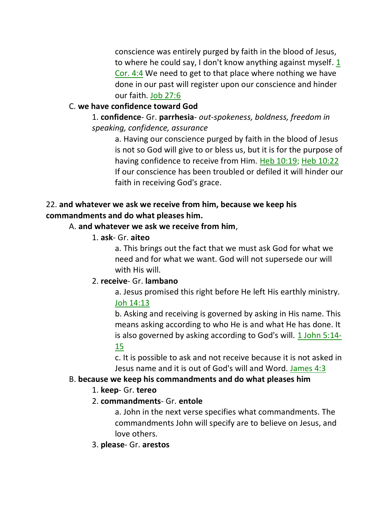conscience was entirely purged by faith in the blood of Jesus, to where he could say, I don't know anything against myself. 1 Cor. 4:4 We need to get to that place where nothing we have done in our past will register upon our conscience and hinder our faith. Job 27:6

# C. **we have confidence toward God**

1. **confidence**- Gr. **parrhesia**- *out-spokeness, boldness, freedom in speaking, confidence, assurance*

a. Having our conscience purged by faith in the blood of Jesus is not so God will give to or bless us, but it is for the purpose of having confidence to receive from Him. Heb 10:19; Heb 10:22 If our conscience has been troubled or defiled it will hinder our faith in receiving God's grace.

# 22. **and whatever we ask we receive from him, because we keep his commandments and do what pleases him.**

# A. **and whatever we ask we receive from him**,

1. **ask**- Gr. **aiteo**

a. This brings out the fact that we must ask God for what we need and for what we want. God will not supersede our will with His will.

# 2. **receive**- Gr. **lambano**

a. Jesus promised this right before He left His earthly ministry. Joh 14:13

b. Asking and receiving is governed by asking in His name. This means asking according to who He is and what He has done. It is also governed by asking according to God's will. 1 John 5:14-

# 15

c. It is possible to ask and not receive because it is not asked in Jesus name and it is out of God's will and Word. James 4:3

# B. **because we keep his commandments and do what pleases him**

- 1. **keep** Gr. **tereo**
- 2. **commandments** Gr. **entole**

a. John in the next verse specifies what commandments. The commandments John will specify are to believe on Jesus, and love others.

3. **please**- Gr. **arestos**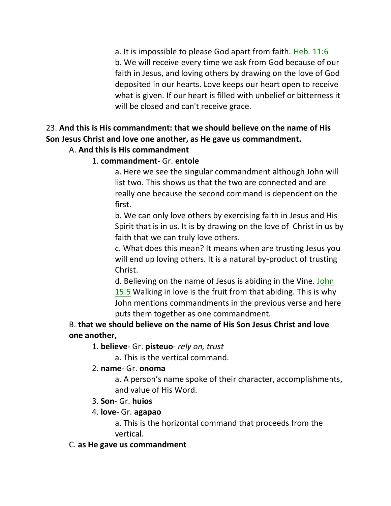a. It is impossible to please God apart from faith. Heb. 11:6

b. We will receive every time we ask from God because of our faith in Jesus, and loving others by drawing on the love of God deposited in our hearts. Love keeps our heart open to receive what is given. If our heart is filled with unbelief or bitterness it will be closed and can't receive grace.

# 23. **And this is His commandment: that we should believe on the name of His Son Jesus Christ and love one another, as He gave us commandment.**

# A. **And this is His commandment**

# 1. **commandment**- Gr. **entole**

a. Here we see the singular commandment although John will list two. This shows us that the two are connected and are really one because the second command is dependent on the first.

b. We can only love others by exercising faith in Jesus and His Spirit that is in us. It is by drawing on the love of Christ in us by faith that we can truly love others.

c. What does this mean? It means when are trusting Jesus you will end up loving others. It is a natural by-product of trusting Christ.

d. Believing on the name of Jesus is abiding in the Vine. John 15:5 Walking in love is the fruit from that abiding. This is why John mentions commandments in the previous verse and here puts them together as one commandment.

# B. **that we should believe on the name of His Son Jesus Christ and love one another,**

1. **believe**- Gr. **pisteuo**- *rely on, trust*

a. This is the vertical command.

#### 2. **name**- Gr. **onoma**

a. A person's name spoke of their character, accomplishments, and value of His Word.

3. **Son**- Gr. **huios**

# 4. **love**- Gr. **agapao**

a. This is the horizontal command that proceeds from the vertical.

#### C. **as He gave us commandment**